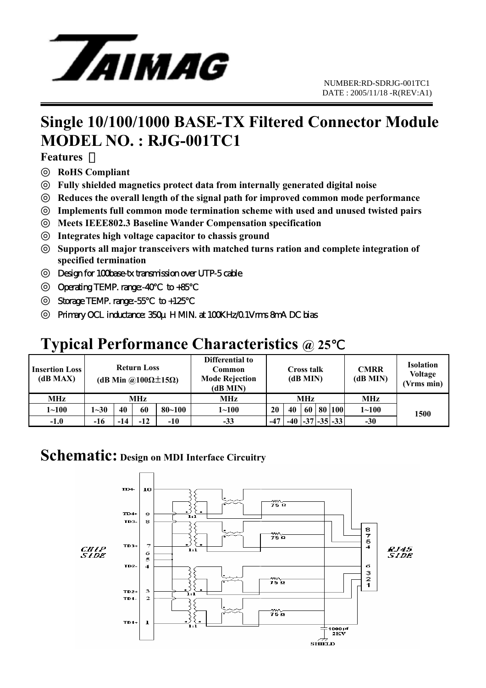

## **Single 10/100/1000 BASE-TX Filtered Connector Module MODEL NO. : RJG-001TC1**

**Features** 

**RoHS Compliant** 

**Fully shielded magnetics protect data from internally generated digital noise** 

**Reduces the overall length of the signal path for improved common mode performance** 

**Implements full common mode termination scheme with used and unused twisted pairs** 

**Meets IEEE802.3 Baseline Wander Compensation specification** 

**Integrates high voltage capacitor to chassis ground** 

**Supports all major transceivers with matched turns ration and complete integration of specified termination** 

Design for 100base-tx transmission over UTP-5 cable

Operating TEMP. range:-40 to +85

Storage TEMP. range:-55 to +125

Primary OCL inductance: 350μ HMIN. at 100KHz/0.1Vms 8mA DC bias

## **Typical Performance Characteristics @ 25**℃

| <b>Insertion Loss</b><br>(dB MAX) | <b>Return Loss</b><br>(dB Min @100 $\Omega$ ±15 $\Omega$ ) |     |       |            | Differential to<br>Common<br><b>Mode Rejection</b><br>(dB MIN) | Cross talk<br>(dB MIN) |       |    |  | <b>CMRR</b><br>(dB MIN) | <b>Isolation</b><br><b>Voltage</b><br>(Vrms min) |      |
|-----------------------------------|------------------------------------------------------------|-----|-------|------------|----------------------------------------------------------------|------------------------|-------|----|--|-------------------------|--------------------------------------------------|------|
| MHz                               | MHz                                                        |     |       |            | MHz                                                            | <b>MHz</b>             |       |    |  |                         | MHz                                              |      |
| $1 - 100$                         | $1 - 30$                                                   | 40  | 60    | $80 - 100$ | $1 \!\!\sim\!\! 100$                                           | 20                     | 40    | 60 |  | 80 100                  | $1 - 100$                                        | 1500 |
| $-1.0$                            | -16                                                        | -14 | $-12$ | -10        | $-33$                                                          | $-47$                  | $-40$ |    |  | $ -37 $ -35 $ -33 $     | $-30$                                            |      |

#### **Schematic: Design on MDI Interface Circuitry**

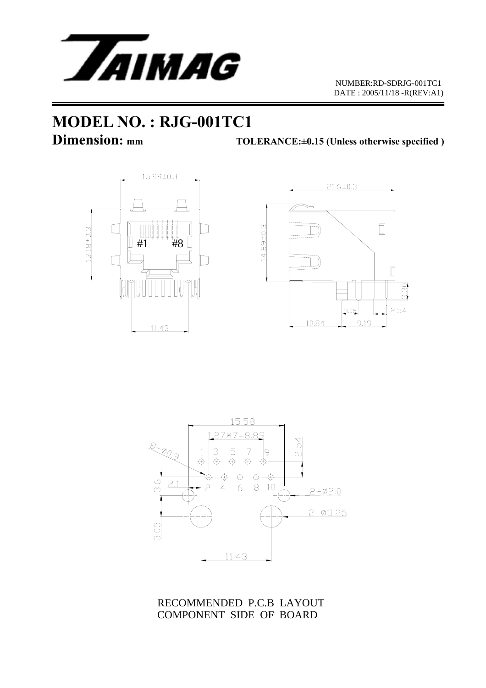

 NUMBER:RD-SDRJG-001TC1 DATE : 2005/11/18 -R(REV:A1)

# **MODEL NO. : RJG-001TC1**

**Dimension:** mm TOLERANCE:±0.15 (Unless otherwise specified )







RECOMMENDED P.C.B LAYOUT COMPONENT SIDE OF BOARD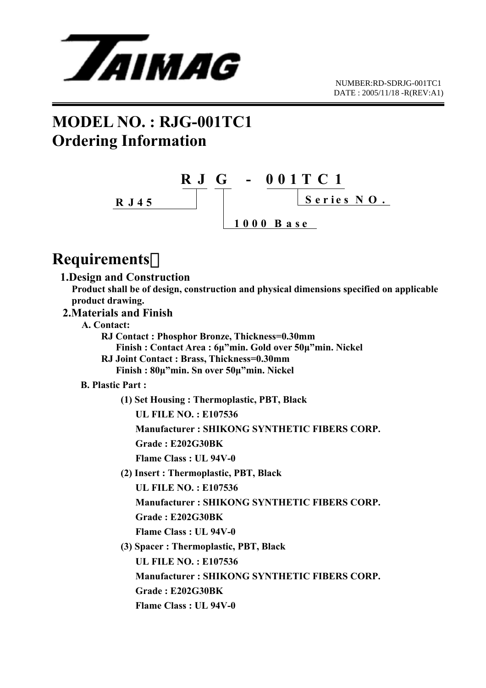

## **MODEL NO. : RJG-001TC1 Ordering Information**



### **Requirements**:

**1.Design and Construction** 

 **Product shall be of design, construction and physical dimensions specified on applicable product drawing.** 

- **2.Materials and Finish** 
	- **A. Contact:**

 **RJ Contact : Phosphor Bronze, Thickness=0.30mm** 

- **Finish : Contact Area : 6µ"min. Gold over 50µ"min. Nickel**
- **RJ Joint Contact : Brass, Thickness=0.30mm Finish : 80µ"min. Sn over 50µ"min. Nickel**

#### **B. Plastic Part :**

 **(1) Set Housing : Thermoplastic, PBT, Black** 

 **UL FILE NO. : E107536** 

 **Manufacturer : SHIKONG SYNTHETIC FIBERS CORP.** 

 **Grade : E202G30BK** 

 **Flame Class : UL 94V-0** 

 **(2) Insert : Thermoplastic, PBT, Black** 

 **UL FILE NO. : E107536** 

 **Manufacturer : SHIKONG SYNTHETIC FIBERS CORP.** 

 **Grade : E202G30BK** 

 **Flame Class : UL 94V-0** 

 **(3) Spacer : Thermoplastic, PBT, Black** 

 **UL FILE NO. : E107536** 

 **Manufacturer : SHIKONG SYNTHETIC FIBERS CORP.** 

 **Grade : E202G30BK** 

 **Flame Class : UL 94V-0**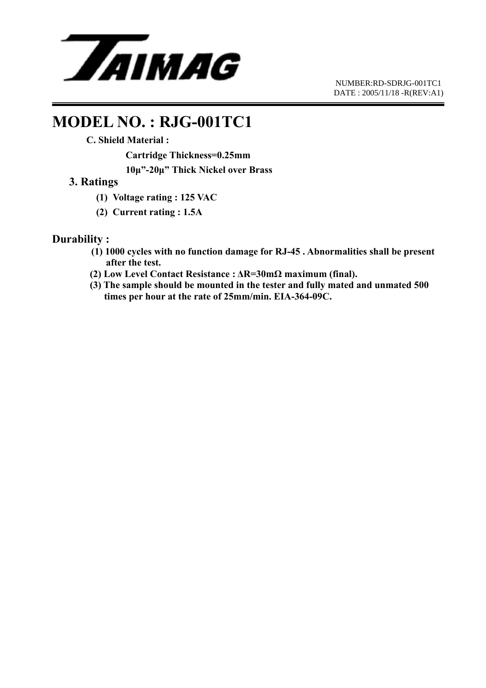

 NUMBER:RD-SDRJG-001TC1 DATE : 2005/11/18 -R(REV:A1)

### **MODEL NO. : RJG-001TC1**

 **C. Shield Material :** 

 **Cartridge Thickness=0.25mm 10µ"-20µ" Thick Nickel over Brass** 

#### **3. Ratings**

- **(1) Voltage rating : 125 VAC**
- **(2) Current rating : 1.5A**

#### **Durability :**

- **(1) 1000 cycles with no function damage for RJ-45 . Abnormalities shall be present after the test.**
- **(2) Low Level Contact Resistance : ∆R=30mΩ maximum (final).**
- **(3) The sample should be mounted in the tester and fully mated and unmated 500 times per hour at the rate of 25mm/min. EIA-364-09C.**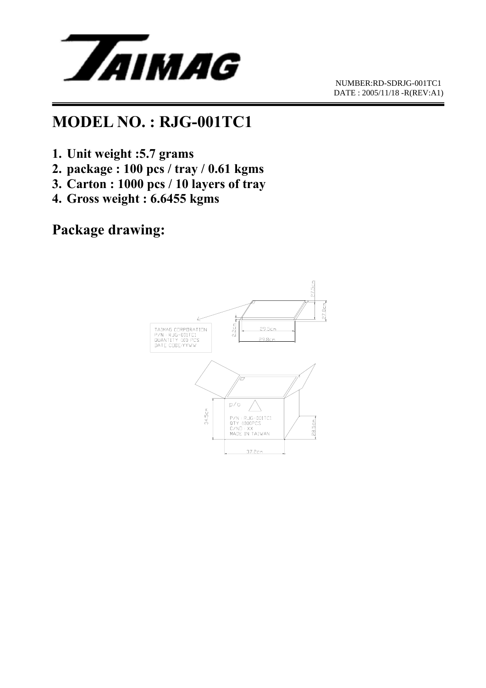

## **MODEL NO. : RJG-001TC1**

- **1. Unit weight :5.7 grams**
- **2. package : 100 pcs / tray / 0.61 kgms**
- **3. Carton : 1000 pcs / 10 layers of tray**
- **4. Gross weight : 6.6455 kgms**

#### **Package drawing:**